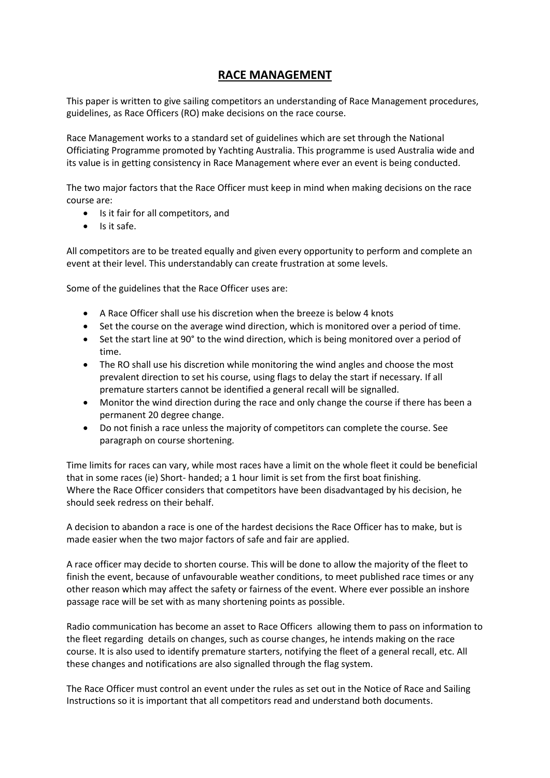## **RACE MANAGEMENT**

This paper is written to give sailing competitors an understanding of Race Management procedures, guidelines, as Race Officers (RO) make decisions on the race course.

Race Management works to a standard set of guidelines which are set through the National Officiating Programme promoted by Yachting Australia. This programme is used Australia wide and its value is in getting consistency in Race Management where ever an event is being conducted.

The two major factors that the Race Officer must keep in mind when making decisions on the race course are:

- Is it fair for all competitors, and
- $\bullet$  Is it safe.

All competitors are to be treated equally and given every opportunity to perform and complete an event at their level. This understandably can create frustration at some levels.

Some of the guidelines that the Race Officer uses are:

- A Race Officer shall use his discretion when the breeze is below 4 knots
- Set the course on the average wind direction, which is monitored over a period of time.
- Set the start line at 90° to the wind direction, which is being monitored over a period of time.
- The RO shall use his discretion while monitoring the wind angles and choose the most prevalent direction to set his course, using flags to delay the start if necessary. If all premature starters cannot be identified a general recall will be signalled.
- Monitor the wind direction during the race and only change the course if there has been a permanent 20 degree change.
- Do not finish a race unless the majority of competitors can complete the course. See paragraph on course shortening.

Time limits for races can vary, while most races have a limit on the whole fleet it could be beneficial that in some races (ie) Short- handed; a 1 hour limit is set from the first boat finishing. Where the Race Officer considers that competitors have been disadvantaged by his decision, he should seek redress on their behalf.

A decision to abandon a race is one of the hardest decisions the Race Officer has to make, but is made easier when the two major factors of safe and fair are applied.

A race officer may decide to shorten course. This will be done to allow the majority of the fleet to finish the event, because of unfavourable weather conditions, to meet published race times or any other reason which may affect the safety or fairness of the event. Where ever possible an inshore passage race will be set with as many shortening points as possible.

Radio communication has become an asset to Race Officers allowing them to pass on information to the fleet regarding details on changes, such as course changes, he intends making on the race course. It is also used to identify premature starters, notifying the fleet of a general recall, etc. All these changes and notifications are also signalled through the flag system.

The Race Officer must control an event under the rules as set out in the Notice of Race and Sailing Instructions so it is important that all competitors read and understand both documents.